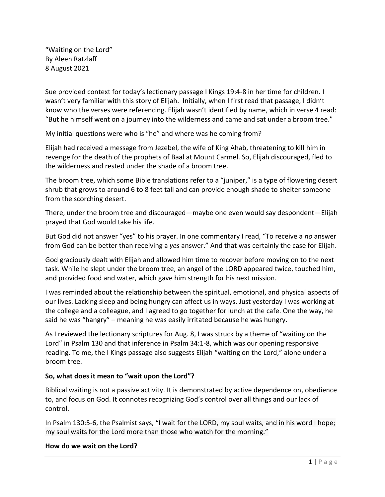"Waiting on the Lord" By Aleen Ratzlaff 8 August 2021

Sue provided context for today's lectionary passage I Kings 19:4-8 in her time for children. I wasn't very familiar with this story of Elijah. Initially, when I first read that passage, I didn't know who the verses were referencing. Elijah wasn't identified by name, which in verse 4 read: "But he himself went on a journey into the wilderness and came and sat under a broom tree."

My initial questions were who is "he" and where was he coming from?

Elijah had received a message from Jezebel, the wife of King Ahab, threatening to kill him in revenge for the death of the prophets of Baal at Mount Carmel. So, Elijah discouraged, fled to the wilderness and rested under the shade of a broom tree.

The broom tree, which some Bible translations refer to a "juniper," is a type of flowering desert shrub that grows to around 6 to 8 feet tall and can provide enough shade to shelter someone from the scorching desert.

There, under the broom tree and discouraged—maybe one even would say despondent—Elijah prayed that God would take his life.

But God did not answer "yes" to his prayer. In one commentary I read, "To receive a *no* answer from God can be better than receiving a *yes* answer." And that was certainly the case for Elijah.

God graciously dealt with Elijah and allowed him time to recover before moving on to the next task. While he slept under the broom tree, an angel of the LORD appeared twice, touched him, and provided food and water, which gave him strength for his next mission.

I was reminded about the relationship between the spiritual, emotional, and physical aspects of our lives. Lacking sleep and being hungry can affect us in ways. Just yesterday I was working at the college and a colleague, and I agreed to go together for lunch at the cafe. One the way, he said he was "hangry" – meaning he was easily irritated because he was hungry.

As I reviewed the lectionary scriptures for Aug. 8, I was struck by a theme of "waiting on the Lord" in Psalm 130 and that inference in Psalm 34:1-8, which was our opening responsive reading. To me, the I Kings passage also suggests Elijah "waiting on the Lord," alone under a broom tree.

# **So, what does it mean to "wait upon the Lord"?**

Biblical waiting is not a passive activity. It is demonstrated by active dependence on, obedience to, and focus on God. It connotes recognizing God's control over all things and our lack of control.

In Psalm 130:5-6, the Psalmist says, "I wait for the LORD, my soul waits, and in his word I hope; my soul waits for the Lord more than those who watch for the morning."

#### **How do we wait on the Lord?**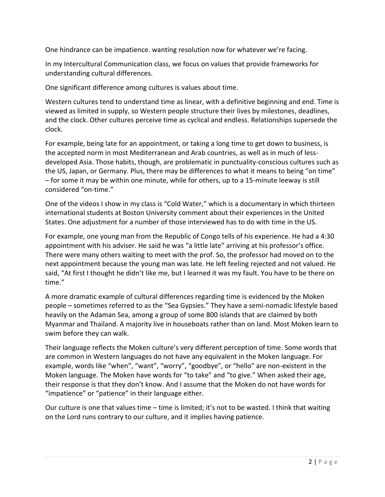One hindrance can be impatience. wanting resolution now for whatever we're facing.

In my Intercultural Communication class, we focus on values that provide frameworks for understanding cultural differences.

One significant difference among cultures is values about time.

Western cultures tend to understand time as linear, with a definitive beginning and end. Time is viewed as limited in supply, so Western people structure their lives by milestones, deadlines, and the clock. Other cultures perceive time as cyclical and endless. Relationships supersede the clock.

For example, being late for an appointment, or taking a long time to get down to business, is the accepted norm in most Mediterranean and Arab countries, as well as in much of lessdeveloped Asia. Those habits, though, are problematic in punctuality-conscious cultures such as the US, Japan, or Germany. Plus, there may be differences to what it means to being "on time" – for some it may be within one minute, while for others, up to a 15-minute leeway is still considered "on-time."

One of the videos I show in my class is "Cold Water," which is a documentary in which thirteen international students at Boston University comment about their experiences in the United States. One adjustment for a number of those interviewed has to do with time in the US.

For example, one young man from the Republic of Congo tells of his experience. He had a 4:30 appointment with his adviser. He said he was "a little late" arriving at his professor's office. There were many others waiting to meet with the prof. So, the professor had moved on to the next appointment because the young man was late. He left feeling rejected and not valued. He said, "At first I thought he didn't like me, but I learned it was my fault. You have to be there on time."

A more dramatic example of cultural differences regarding time is evidenced by the Moken people – sometimes referred to as the "Sea Gypsies." They have a semi-nomadic lifestyle based heavily on the Adaman Sea, among a group of some 800 islands that are claimed by both Myanmar and Thailand. A majority live in houseboats rather than on land. Most Moken learn to swim before they can walk.

Their language reflects the Moken culture's very different perception of time. Some words that are common in Western languages do not have any equivalent in the Moken language. For example, words like "when", "want", "worry", "goodbye", or "hello" are non-existent in the Moken language. The Moken have words for "to take" and "to give." When asked their age, their response is that they don't know. And I assume that the Moken do not have words for "impatience" or "patience" in their language either.

Our culture is one that values time – time is limited; it's not to be wasted. I think that waiting on the Lord runs contrary to our culture, and it implies having patience.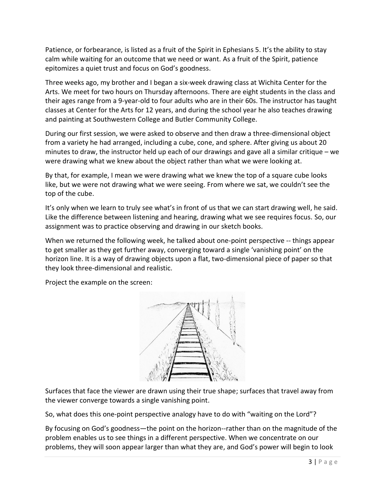Patience, or forbearance, is listed as a fruit of the Spirit in Ephesians 5. It's the ability to stay calm while waiting for an outcome that we need or want. As a fruit of the Spirit, patience epitomizes a quiet trust and focus on God's goodness.

Three weeks ago, my brother and I began a six-week drawing class at Wichita Center for the Arts. We meet for two hours on Thursday afternoons. There are eight students in the class and their ages range from a 9-year-old to four adults who are in their 60s. The instructor has taught classes at Center for the Arts for 12 years, and during the school year he also teaches drawing and painting at Southwestern College and Butler Community College.

During our first session, we were asked to observe and then draw a three-dimensional object from a variety he had arranged, including a cube, cone, and sphere. After giving us about 20 minutes to draw, the instructor held up each of our drawings and gave all a similar critique – we were drawing what we knew about the object rather than what we were looking at.

By that, for example, I mean we were drawing what we knew the top of a square cube looks like, but we were not drawing what we were seeing. From where we sat, we couldn't see the top of the cube.

It's only when we learn to truly see what's in front of us that we can start drawing well, he said. Like the difference between listening and hearing, drawing what we see requires focus. So, our assignment was to practice observing and drawing in our sketch books.

When we returned the following week, he talked about one-point perspective -- things appear to get smaller as they get further away, converging toward a single 'vanishing point' on the horizon line. It is a way of drawing objects upon a flat, two-dimensional piece of paper so that they look three-dimensional and realistic.

Project the example on the screen:



Surfaces that face the viewer are drawn using their true shape; surfaces that travel away from the viewer converge towards a single vanishing point.

So, what does this one-point perspective analogy have to do with "waiting on the Lord"?

By focusing on God's goodness—the point on the horizon--rather than on the magnitude of the problem enables us to see things in a different perspective. When we concentrate on our problems, they will soon appear larger than what they are, and God's power will begin to look